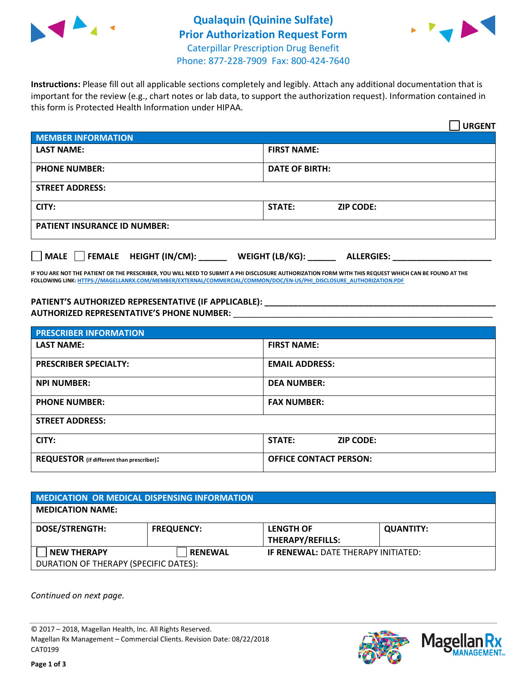



**Instructions:** Please fill out all applicable sections completely and legibly. Attach any additional documentation that is important for the review (e.g., chart notes or lab data, to support the authorization request). Information contained in this form is Protected Health Information under HIPAA.

|                                            | <b>URGENT</b>                        |  |
|--------------------------------------------|--------------------------------------|--|
| <b>MEMBER INFORMATION</b>                  |                                      |  |
| <b>LAST NAME:</b>                          | <b>FIRST NAME:</b>                   |  |
| <b>PHONE NUMBER:</b>                       | <b>DATE OF BIRTH:</b>                |  |
| <b>STREET ADDRESS:</b>                     |                                      |  |
| CITY:                                      | STATE:<br><b>ZIP CODE:</b>           |  |
| <b>PATIENT INSURANCE ID NUMBER:</b>        |                                      |  |
| FEMALE HEIGHT (IN/CM):<br>$ $ MALE $ $ $ $ | WEIGHT (LB/KG):<br><b>ALLERGIES:</b> |  |

**IF YOU ARE NOT THE PATIENT OR THE PRESCRIBER, YOU WILL NEED TO SUBMIT A PHI DISCLOSURE AUTHORIZATION FORM WITH THIS REQUEST WHICH CAN BE FOUND AT THE FOLLOWING LINK[: HTTPS://MAGELLANRX.COM/MEMBER/EXTERNAL/COMMERCIAL/COMMON/DOC/EN-US/PHI\\_DISCLOSURE\\_AUTHORIZATION.PDF](https://magellanrx.com/member/external/commercial/common/doc/en-us/PHI_Disclosure_Authorization.pdf)**

**PATIENT'S AUTHORIZED REPRESENTATIVE (IF APPLICABLE): \_\_\_\_\_\_\_\_\_\_\_\_\_\_\_\_\_\_\_\_\_\_\_\_\_\_\_\_\_\_\_\_\_\_\_\_\_\_\_\_\_\_\_\_\_\_\_\_\_ AUTHORIZED REPRESENTATIVE'S PHONE NUMBER:** \_\_\_\_\_\_\_\_\_\_\_\_\_\_\_\_\_\_\_\_\_\_\_\_\_\_\_\_\_\_\_\_\_\_\_\_\_\_\_\_\_\_\_\_\_\_\_\_\_\_\_\_\_\_\_

| <b>PRESCRIBER INFORMATION</b>             |                               |  |  |  |
|-------------------------------------------|-------------------------------|--|--|--|
| <b>LAST NAME:</b>                         | <b>FIRST NAME:</b>            |  |  |  |
| <b>PRESCRIBER SPECIALTY:</b>              | <b>EMAIL ADDRESS:</b>         |  |  |  |
| <b>NPI NUMBER:</b>                        | <b>DEA NUMBER:</b>            |  |  |  |
| <b>PHONE NUMBER:</b>                      | <b>FAX NUMBER:</b>            |  |  |  |
| <b>STREET ADDRESS:</b>                    |                               |  |  |  |
| CITY:                                     | STATE:<br><b>ZIP CODE:</b>    |  |  |  |
| REQUESTOR (if different than prescriber): | <b>OFFICE CONTACT PERSON:</b> |  |  |  |

| <b>MEDICATION OR MEDICAL DISPENSING INFORMATION</b> |                   |                                            |                  |  |  |
|-----------------------------------------------------|-------------------|--------------------------------------------|------------------|--|--|
| <b>MEDICATION NAME:</b>                             |                   |                                            |                  |  |  |
| <b>DOSE/STRENGTH:</b>                               | <b>FREQUENCY:</b> | <b>LENGTH OF</b>                           | <b>QUANTITY:</b> |  |  |
|                                                     |                   | <b>THERAPY/REFILLS:</b>                    |                  |  |  |
| <b>NEW THERAPY</b>                                  | <b>RENEWAL</b>    | <b>IF RENEWAL: DATE THERAPY INITIATED:</b> |                  |  |  |
| DURATION OF THERAPY (SPECIFIC DATES):               |                   |                                            |                  |  |  |

*Continued on next page.*

© 2017 – 2018, Magellan Health, Inc. All Rights Reserved. Magellan Rx Management – Commercial Clients. Revision Date: 08/22/2018 CAT0199



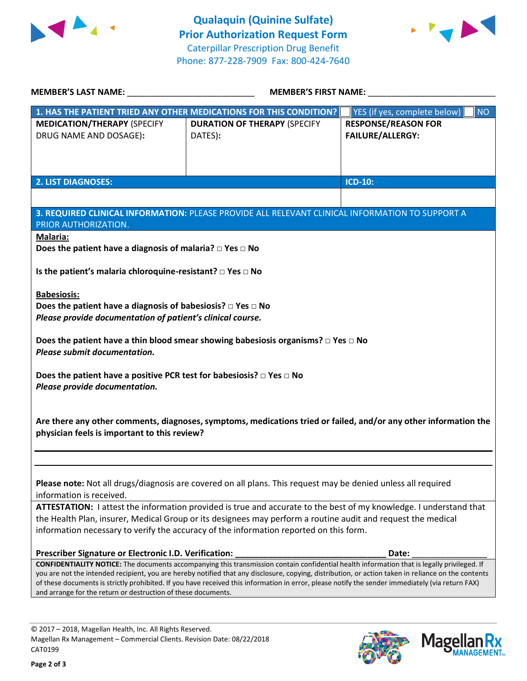



| <b>MEMBER'S LAST NAME:</b>                                                                                                                                                                                                                                                                                                                                                                                                                                                                                                                                                                | <b>MEMBER'S FIRST NAME:</b>                                        |                                                       |  |  |
|-------------------------------------------------------------------------------------------------------------------------------------------------------------------------------------------------------------------------------------------------------------------------------------------------------------------------------------------------------------------------------------------------------------------------------------------------------------------------------------------------------------------------------------------------------------------------------------------|--------------------------------------------------------------------|-------------------------------------------------------|--|--|
|                                                                                                                                                                                                                                                                                                                                                                                                                                                                                                                                                                                           | 1. HAS THE PATIENT TRIED ANY OTHER MEDICATIONS FOR THIS CONDITION? | <b>NO</b><br>YES (if yes, complete below)             |  |  |
| <b>MEDICATION/THERAPY (SPECIFY</b><br>DRUG NAME AND DOSAGE):                                                                                                                                                                                                                                                                                                                                                                                                                                                                                                                              | <b>DURATION OF THERAPY (SPECIFY</b><br>DATES):                     | <b>RESPONSE/REASON FOR</b><br><b>FAILURE/ALLERGY:</b> |  |  |
| <b>2. LIST DIAGNOSES:</b>                                                                                                                                                                                                                                                                                                                                                                                                                                                                                                                                                                 |                                                                    | <b>ICD-10:</b>                                        |  |  |
|                                                                                                                                                                                                                                                                                                                                                                                                                                                                                                                                                                                           |                                                                    |                                                       |  |  |
| 3. REQUIRED CLINICAL INFORMATION: PLEASE PROVIDE ALL RELEVANT CLINICAL INFORMATION TO SUPPORT A<br>PRIOR AUTHORIZATION.                                                                                                                                                                                                                                                                                                                                                                                                                                                                   |                                                                    |                                                       |  |  |
| <b>Malaria:</b><br>Does the patient have a diagnosis of malaria? $\Box$ Yes $\Box$ No                                                                                                                                                                                                                                                                                                                                                                                                                                                                                                     |                                                                    |                                                       |  |  |
| Is the patient's malaria chloroquine-resistant? □ Yes □ No                                                                                                                                                                                                                                                                                                                                                                                                                                                                                                                                |                                                                    |                                                       |  |  |
| <b>Babesiosis:</b><br>Does the patient have a diagnosis of babesiosis? $\square$ Yes $\square$ No<br>Please provide documentation of patient's clinical course.                                                                                                                                                                                                                                                                                                                                                                                                                           |                                                                    |                                                       |  |  |
| Does the patient have a thin blood smear showing babesiosis organisms? $\Box$ Yes $\Box$ No<br>Please submit documentation.                                                                                                                                                                                                                                                                                                                                                                                                                                                               |                                                                    |                                                       |  |  |
| Does the patient have a positive PCR test for babesiosis? $\Box$ Yes $\Box$ No<br>Please provide documentation.                                                                                                                                                                                                                                                                                                                                                                                                                                                                           |                                                                    |                                                       |  |  |
| Are there any other comments, diagnoses, symptoms, medications tried or failed, and/or any other information the<br>physician feels is important to this review?                                                                                                                                                                                                                                                                                                                                                                                                                          |                                                                    |                                                       |  |  |
|                                                                                                                                                                                                                                                                                                                                                                                                                                                                                                                                                                                           |                                                                    |                                                       |  |  |
| Please note: Not all drugs/diagnosis are covered on all plans. This request may be denied unless all required<br>information is received.                                                                                                                                                                                                                                                                                                                                                                                                                                                 |                                                                    |                                                       |  |  |
| ATTESTATION: I attest the information provided is true and accurate to the best of my knowledge. I understand that<br>the Health Plan, insurer, Medical Group or its designees may perform a routine audit and request the medical<br>information necessary to verify the accuracy of the information reported on this form.                                                                                                                                                                                                                                                              |                                                                    |                                                       |  |  |
|                                                                                                                                                                                                                                                                                                                                                                                                                                                                                                                                                                                           |                                                                    |                                                       |  |  |
| Prescriber Signature or Electronic I.D. Verification:<br>Date:<br>CONFIDENTIALITY NOTICE: The documents accompanying this transmission contain confidential health information that is legally privileged. If<br>you are not the intended recipient, you are hereby notified that any disclosure, copying, distribution, or action taken in reliance on the contents<br>of these documents is strictly prohibited. If you have received this information in error, please notify the sender immediately (via return FAX)<br>and arrange for the return or destruction of these documents. |                                                                    |                                                       |  |  |

© 2017 – 2018, Magellan Health, Inc. All Rights Reserved. Magellan Rx Management – Commercial Clients. Revision Date: 08/22/2018 CAT0199